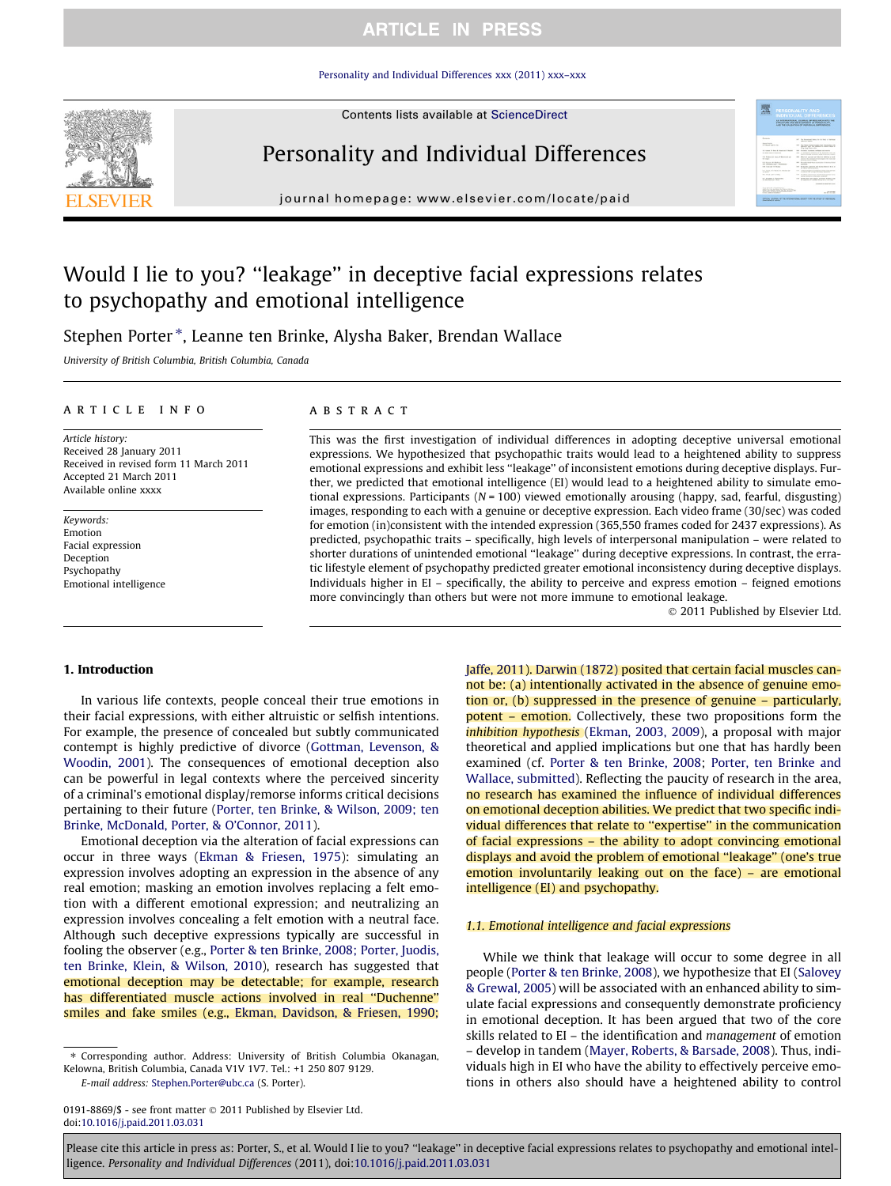# **ARTICLE IN PRESS**

[Personality and Individual Differences xxx \(2011\) xxx–xxx](http://dx.doi.org/10.1016/j.paid.2011.03.031)



Contents lists available at [ScienceDirect](http://www.sciencedirect.com/science/journal/01918869)

# Personality and Individual Differences

journal homepage: [www.elsevier.com/locate/paid](http://www.elsevier.com/locate/paid)

# Would I lie to you? ''leakage'' in deceptive facial expressions relates to psychopathy and emotional intelligence

Stephen Porter \*, Leanne ten Brinke, Alysha Baker, Brendan Wallace

University of British Columbia, British Columbia, Canada

#### article info

Article history: Received 28 January 2011 Received in revised form 11 March 2011 Accepted 21 March 2011 Available online xxxx

Keywords: Emotion Facial expression Deception Psychopathy Emotional intelligence

## ABSTRACT

This was the first investigation of individual differences in adopting deceptive universal emotional expressions. We hypothesized that psychopathic traits would lead to a heightened ability to suppress emotional expressions and exhibit less ''leakage'' of inconsistent emotions during deceptive displays. Further, we predicted that emotional intelligence (EI) would lead to a heightened ability to simulate emotional expressions. Participants ( $N = 100$ ) viewed emotionally arousing (happy, sad, fearful, disgusting) images, responding to each with a genuine or deceptive expression. Each video frame (30/sec) was coded for emotion (in)consistent with the intended expression (365,550 frames coded for 2437 expressions). As predicted, psychopathic traits – specifically, high levels of interpersonal manipulation – were related to shorter durations of unintended emotional ''leakage'' during deceptive expressions. In contrast, the erratic lifestyle element of psychopathy predicted greater emotional inconsistency during deceptive displays. Individuals higher in EI – specifically, the ability to perceive and express emotion – feigned emotions more convincingly than others but were not more immune to emotional leakage.

 $©$  2011 Published by Elsevier Ltd.

**MODERN CONSTRUCT** 

#### 1. Introduction

In various life contexts, people conceal their true emotions in their facial expressions, with either altruistic or selfish intentions. For example, the presence of concealed but subtly communicated contempt is highly predictive of divorce ([Gottman, Levenson, &](#page-4-0) [Woodin, 2001\)](#page-4-0). The consequences of emotional deception also can be powerful in legal contexts where the perceived sincerity of a criminal's emotional display/remorse informs critical decisions pertaining to their future ([Porter, ten Brinke, & Wilson, 2009; ten](#page-4-0) [Brinke, McDonald, Porter, & O'Connor, 2011](#page-4-0)).

Emotional deception via the alteration of facial expressions can occur in three ways [\(Ekman & Friesen, 1975](#page-4-0)): simulating an expression involves adopting an expression in the absence of any real emotion; masking an emotion involves replacing a felt emotion with a different emotional expression; and neutralizing an expression involves concealing a felt emotion with a neutral face. Although such deceptive expressions typically are successful in fooling the observer (e.g., [Porter & ten Brinke, 2008; Porter, Juodis,](#page-4-0) [ten Brinke, Klein, & Wilson, 2010](#page-4-0)), research has suggested that emotional deception may be detectable; for example, research has differentiated muscle actions involved in real ''Duchenne'' smiles and fake smiles (e.g., [Ekman, Davidson, & Friesen, 1990;](#page-4-0)

E-mail address: [Stephen.Porter@ubc.ca](mailto:Stephen.Porter@ubc.ca) (S. Porter).

[Jaffe, 2011](#page-4-0)). [Darwin \(1872\)](#page-4-0) posited that certain facial muscles cannot be: (a) intentionally activated in the absence of genuine emotion or, (b) suppressed in the presence of genuine – particularly, potent – emotion. Collectively, these two propositions form the inhibition hypothesis [\(Ekman, 2003, 2009\)](#page-4-0), a proposal with major theoretical and applied implications but one that has hardly been examined (cf. [Porter & ten Brinke, 2008;](#page-4-0) [Porter, ten Brinke and](#page-4-0) [Wallace, submitted](#page-4-0)). Reflecting the paucity of research in the area, no research has examined the influence of individual differences on emotional deception abilities. We predict that two specific individual differences that relate to ''expertise'' in the communication of facial expressions – the ability to adopt convincing emotional displays and avoid the problem of emotional ''leakage'' (one's true emotion involuntarily leaking out on the face) – are emotional intelligence (EI) and psychopathy.

### 1.1. Emotional intelligence and facial expressions

While we think that leakage will occur to some degree in all people ([Porter & ten Brinke, 2008](#page-4-0)), we hypothesize that EI ([Salovey](#page-4-0) [& Grewal, 2005\)](#page-4-0) will be associated with an enhanced ability to simulate facial expressions and consequently demonstrate proficiency in emotional deception. It has been argued that two of the core skills related to EI – the identification and management of emotion – develop in tandem [\(Mayer, Roberts, & Barsade, 2008](#page-4-0)). Thus, individuals high in EI who have the ability to effectively perceive emotions in others also should have a heightened ability to control

0191-8869/\$ - see front matter @ 2011 Published by Elsevier Ltd. doi[:10.1016/j.paid.2011.03.031](http://dx.doi.org/10.1016/j.paid.2011.03.031)

<sup>⇑</sup> Corresponding author. Address: University of British Columbia Okanagan, Kelowna, British Columbia, Canada V1V 1V7. Tel.: +1 250 807 9129.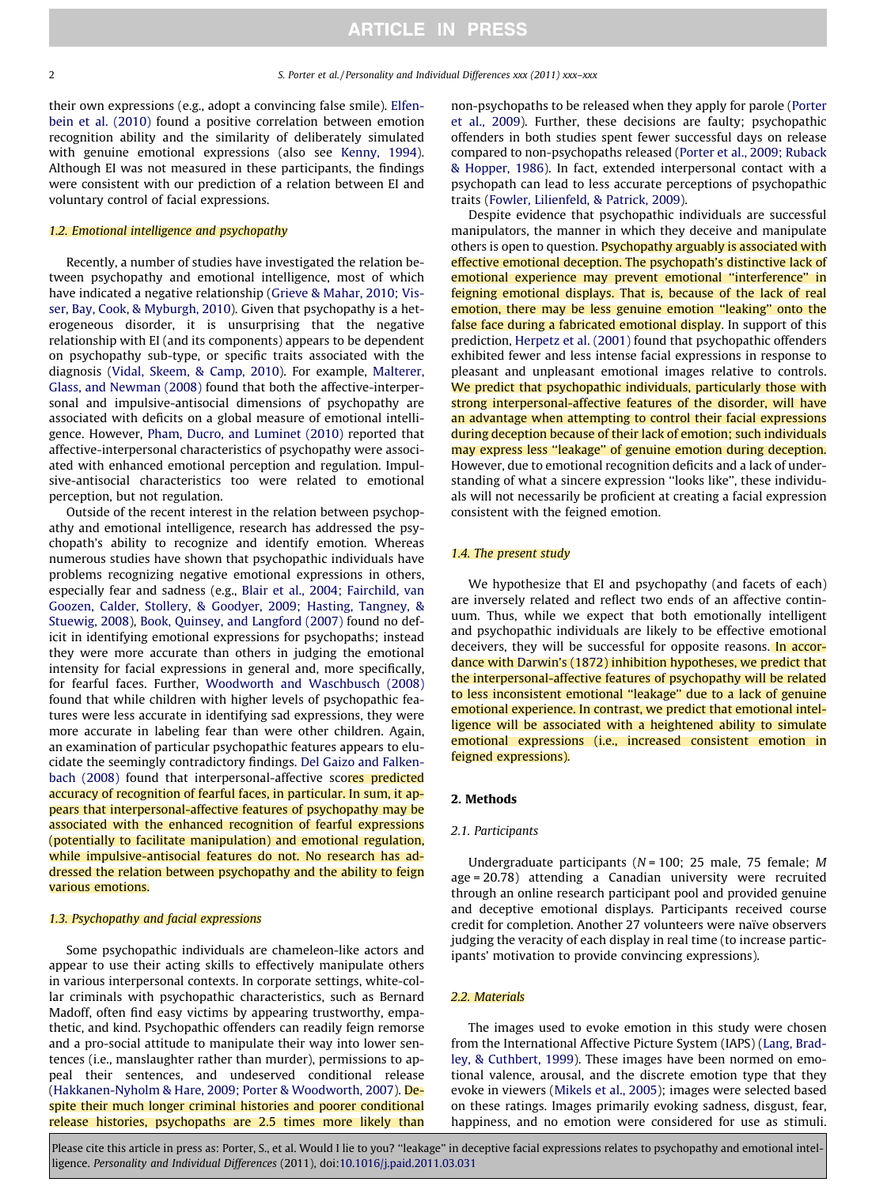their own expressions (e.g., adopt a convincing false smile). [Elfen](#page-4-0)[bein et al. \(2010\)](#page-4-0) found a positive correlation between emotion recognition ability and the similarity of deliberately simulated with genuine emotional expressions (also see [Kenny, 1994\)](#page-4-0). Although EI was not measured in these participants, the findings were consistent with our prediction of a relation between EI and voluntary control of facial expressions.

## 1.2. Emotional intelligence and psychopathy

Recently, a number of studies have investigated the relation between psychopathy and emotional intelligence, most of which have indicated a negative relationship ([Grieve & Mahar, 2010; Vis](#page-4-0)[ser, Bay, Cook, & Myburgh, 2010](#page-4-0)). Given that psychopathy is a heterogeneous disorder, it is unsurprising that the negative relationship with EI (and its components) appears to be dependent on psychopathy sub-type, or specific traits associated with the diagnosis ([Vidal, Skeem, & Camp, 2010\)](#page-4-0). For example, [Malterer,](#page-4-0) [Glass, and Newman \(2008\)](#page-4-0) found that both the affective-interpersonal and impulsive-antisocial dimensions of psychopathy are associated with deficits on a global measure of emotional intelligence. However, [Pham, Ducro, and Luminet \(2010\)](#page-4-0) reported that affective-interpersonal characteristics of psychopathy were associated with enhanced emotional perception and regulation. Impulsive-antisocial characteristics too were related to emotional perception, but not regulation.

Outside of the recent interest in the relation between psychopathy and emotional intelligence, research has addressed the psychopath's ability to recognize and identify emotion. Whereas numerous studies have shown that psychopathic individuals have problems recognizing negative emotional expressions in others, especially fear and sadness (e.g., [Blair et al., 2004; Fairchild, van](#page-3-0) [Goozen, Calder, Stollery, & Goodyer, 2009; Hasting, Tangney, &](#page-3-0) [Stuewig, 2008](#page-3-0)), [Book, Quinsey, and Langford \(2007\)](#page-3-0) found no deficit in identifying emotional expressions for psychopaths; instead they were more accurate than others in judging the emotional intensity for facial expressions in general and, more specifically, for fearful faces. Further, [Woodworth and Waschbusch \(2008\)](#page-4-0) found that while children with higher levels of psychopathic features were less accurate in identifying sad expressions, they were more accurate in labeling fear than were other children. Again, an examination of particular psychopathic features appears to elucidate the seemingly contradictory findings. [Del Gaizo and Falken](#page-4-0)[bach \(2008\)](#page-4-0) found that interpersonal-affective scores predicted accuracy of recognition of fearful faces, in particular. In sum, it appears that interpersonal-affective features of psychopathy may be associated with the enhanced recognition of fearful expressions (potentially to facilitate manipulation) and emotional regulation, while impulsive-antisocial features do not. No research has addressed the relation between psychopathy and the ability to feign various emotions.

#### 1.3. Psychopathy and facial expressions

Some psychopathic individuals are chameleon-like actors and appear to use their acting skills to effectively manipulate others in various interpersonal contexts. In corporate settings, white-collar criminals with psychopathic characteristics, such as Bernard Madoff, often find easy victims by appearing trustworthy, empathetic, and kind. Psychopathic offenders can readily feign remorse and a pro-social attitude to manipulate their way into lower sentences (i.e., manslaughter rather than murder), permissions to appeal their sentences, and undeserved conditional release ([Hakkanen-Nyholm & Hare, 2009; Porter & Woodworth, 2007](#page-4-0)). Despite their much longer criminal histories and poorer conditional release histories, psychopaths are 2.5 times more likely than non-psychopaths to be released when they apply for parole ([Porter](#page-4-0) [et al., 2009\)](#page-4-0). Further, these decisions are faulty; psychopathic offenders in both studies spent fewer successful days on release compared to non-psychopaths released [\(Porter et al., 2009; Ruback](#page-4-0) [& Hopper, 1986\)](#page-4-0). In fact, extended interpersonal contact with a psychopath can lead to less accurate perceptions of psychopathic traits [\(Fowler, Lilienfeld, & Patrick, 2009\)](#page-4-0).

Despite evidence that psychopathic individuals are successful manipulators, the manner in which they deceive and manipulate others is open to question. Psychopathy arguably is associated with effective emotional deception. The psychopath's distinctive lack of emotional experience may prevent emotional ''interference'' in feigning emotional displays. That is, because of the lack of real emotion, there may be less genuine emotion ''leaking'' onto the false face during a fabricated emotional display. In support of this prediction, [Herpetz et al. \(2001\)](#page-4-0) found that psychopathic offenders exhibited fewer and less intense facial expressions in response to pleasant and unpleasant emotional images relative to controls. We predict that psychopathic individuals, particularly those with strong interpersonal-affective features of the disorder, will have an advantage when attempting to control their facial expressions during deception because of their lack of emotion; such individuals may express less ''leakage'' of genuine emotion during deception. However, due to emotional recognition deficits and a lack of understanding of what a sincere expression ''looks like'', these individuals will not necessarily be proficient at creating a facial expression consistent with the feigned emotion.

#### 1.4. The present study

We hypothesize that EI and psychopathy (and facets of each) are inversely related and reflect two ends of an affective continuum. Thus, while we expect that both emotionally intelligent and psychopathic individuals are likely to be effective emotional deceivers, they will be successful for opposite reasons. In accordance with [Darwin's \(1872\)](#page-4-0) inhibition hypotheses, we predict that the interpersonal-affective features of psychopathy will be related to less inconsistent emotional ''leakage'' due to a lack of genuine emotional experience. In contrast, we predict that emotional intelligence will be associated with a heightened ability to simulate emotional expressions (i.e., increased consistent emotion in feigned expressions).

## 2. Methods

#### 2.1. Participants

Undergraduate participants (N = 100; 25 male, 75 female; M age = 20.78) attending a Canadian university were recruited through an online research participant pool and provided genuine and deceptive emotional displays. Participants received course credit for completion. Another 27 volunteers were naïve observers judging the veracity of each display in real time (to increase participants' motivation to provide convincing expressions).

#### 2.2. Materials

The images used to evoke emotion in this study were chosen from the International Affective Picture System (IAPS) [\(Lang, Brad](#page-4-0)[ley, & Cuthbert, 1999\)](#page-4-0). These images have been normed on emotional valence, arousal, and the discrete emotion type that they evoke in viewers ([Mikels et al., 2005](#page-4-0)); images were selected based on these ratings. Images primarily evoking sadness, disgust, fear, happiness, and no emotion were considered for use as stimuli.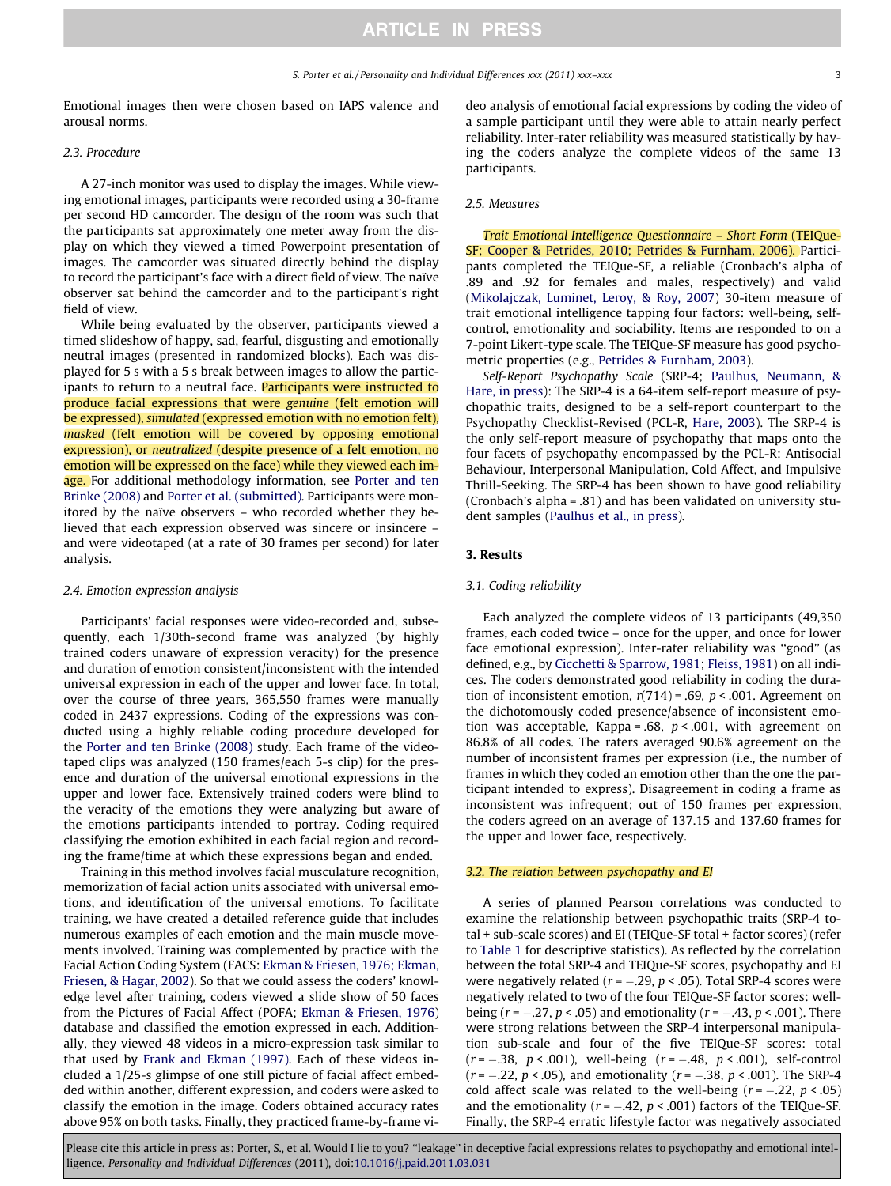Emotional images then were chosen based on IAPS valence and arousal norms.

#### 2.3. Procedure

A 27-inch monitor was used to display the images. While viewing emotional images, participants were recorded using a 30-frame per second HD camcorder. The design of the room was such that the participants sat approximately one meter away from the display on which they viewed a timed Powerpoint presentation of images. The camcorder was situated directly behind the display to record the participant's face with a direct field of view. The naïve observer sat behind the camcorder and to the participant's right field of view.

While being evaluated by the observer, participants viewed a timed slideshow of happy, sad, fearful, disgusting and emotionally neutral images (presented in randomized blocks). Each was displayed for 5 s with a 5 s break between images to allow the participants to return to a neutral face. Participants were instructed to produce facial expressions that were genuine (felt emotion will be expressed), simulated (expressed emotion with no emotion felt), masked (felt emotion will be covered by opposing emotional expression), or neutralized (despite presence of a felt emotion, no emotion will be expressed on the face) while they viewed each im-age. For additional methodology information, see [Porter and ten](#page-4-0) [Brinke \(2008\)](#page-4-0) and [Porter et al. \(submitted\).](#page-4-0) Participants were monitored by the naïve observers – who recorded whether they believed that each expression observed was sincere or insincere – and were videotaped (at a rate of 30 frames per second) for later analysis.

#### 2.4. Emotion expression analysis

Participants' facial responses were video-recorded and, subsequently, each 1/30th-second frame was analyzed (by highly trained coders unaware of expression veracity) for the presence and duration of emotion consistent/inconsistent with the intended universal expression in each of the upper and lower face. In total, over the course of three years, 365,550 frames were manually coded in 2437 expressions. Coding of the expressions was conducted using a highly reliable coding procedure developed for the [Porter and ten Brinke \(2008\)](#page-4-0) study. Each frame of the videotaped clips was analyzed (150 frames/each 5-s clip) for the presence and duration of the universal emotional expressions in the upper and lower face. Extensively trained coders were blind to the veracity of the emotions they were analyzing but aware of the emotions participants intended to portray. Coding required classifying the emotion exhibited in each facial region and recording the frame/time at which these expressions began and ended.

Training in this method involves facial musculature recognition, memorization of facial action units associated with universal emotions, and identification of the universal emotions. To facilitate training, we have created a detailed reference guide that includes numerous examples of each emotion and the main muscle movements involved. Training was complemented by practice with the Facial Action Coding System (FACS: [Ekman & Friesen, 1976; Ekman,](#page-4-0) [Friesen, & Hagar, 2002\)](#page-4-0). So that we could assess the coders' knowledge level after training, coders viewed a slide show of 50 faces from the Pictures of Facial Affect (POFA; [Ekman & Friesen, 1976\)](#page-4-0) database and classified the emotion expressed in each. Additionally, they viewed 48 videos in a micro-expression task similar to that used by [Frank and Ekman \(1997\)](#page-4-0). Each of these videos included a 1/25-s glimpse of one still picture of facial affect embedded within another, different expression, and coders were asked to classify the emotion in the image. Coders obtained accuracy rates above 95% on both tasks. Finally, they practiced frame-by-frame video analysis of emotional facial expressions by coding the video of a sample participant until they were able to attain nearly perfect reliability. Inter-rater reliability was measured statistically by having the coders analyze the complete videos of the same 13 participants.

#### 2.5. Measures

Trait Emotional Intelligence Questionnaire – Short Form (TEIQue-SF; [Cooper & Petrides, 2010; Petrides & Furnham, 2006\)](#page-4-0). Participants completed the TEIQue-SF, a reliable (Cronbach's alpha of .89 and .92 for females and males, respectively) and valid ([Mikolajczak, Luminet, Leroy, & Roy, 2007\)](#page-4-0) 30-item measure of trait emotional intelligence tapping four factors: well-being, selfcontrol, emotionality and sociability. Items are responded to on a 7-point Likert-type scale. The TEIQue-SF measure has good psychometric properties (e.g., [Petrides & Furnham, 2003](#page-4-0)).

Self-Report Psychopathy Scale (SRP-4; [Paulhus, Neumann, &](#page-4-0) [Hare, in press](#page-4-0)): The SRP-4 is a 64-item self-report measure of psychopathic traits, designed to be a self-report counterpart to the Psychopathy Checklist-Revised (PCL-R, [Hare, 2003](#page-4-0)). The SRP-4 is the only self-report measure of psychopathy that maps onto the four facets of psychopathy encompassed by the PCL-R: Antisocial Behaviour, Interpersonal Manipulation, Cold Affect, and Impulsive Thrill-Seeking. The SRP-4 has been shown to have good reliability (Cronbach's alpha = .81) and has been validated on university student samples ([Paulhus et al., in press](#page-4-0)).

### 3. Results

#### 3.1. Coding reliability

Each analyzed the complete videos of 13 participants (49,350 frames, each coded twice – once for the upper, and once for lower face emotional expression). Inter-rater reliability was ''good'' (as defined, e.g., by [Cicchetti & Sparrow, 1981](#page-4-0); [Fleiss, 1981\)](#page-4-0) on all indices. The coders demonstrated good reliability in coding the duration of inconsistent emotion,  $r(714) = .69$ ,  $p < .001$ . Agreement on the dichotomously coded presence/absence of inconsistent emotion was acceptable, Kappa = .68,  $p < .001$ , with agreement on 86.8% of all codes. The raters averaged 90.6% agreement on the number of inconsistent frames per expression (i.e., the number of frames in which they coded an emotion other than the one the participant intended to express). Disagreement in coding a frame as inconsistent was infrequent; out of 150 frames per expression, the coders agreed on an average of 137.15 and 137.60 frames for the upper and lower face, respectively.

#### 3.2. The relation between psychopathy and EI

A series of planned Pearson correlations was conducted to examine the relationship between psychopathic traits (SRP-4 total + sub-scale scores) and EI (TEIQue-SF total + factor scores) (refer to [Table 1](#page-3-0) for descriptive statistics). As reflected by the correlation between the total SRP-4 and TEIQue-SF scores, psychopathy and EI were negatively related ( $r = -.29$ ,  $p < .05$ ). Total SRP-4 scores were negatively related to two of the four TEIQue-SF factor scores: wellbeing ( $r = -.27$ ,  $p < .05$ ) and emotionality ( $r = -.43$ ,  $p < .001$ ). There were strong relations between the SRP-4 interpersonal manipulation sub-scale and four of the five TEIQue-SF scores: total  $(r = -.38, p < .001)$ , well-being  $(r = -.48, p < .001)$ , self-control  $(r = -.22, p < .05)$ , and emotionality  $(r = -.38, p < .001)$ . The SRP-4 cold affect scale was related to the well-being  $(r = -.22, p < .05)$ and the emotionality ( $r = -.42$ ,  $p < .001$ ) factors of the TEIQue-SF. Finally, the SRP-4 erratic lifestyle factor was negatively associated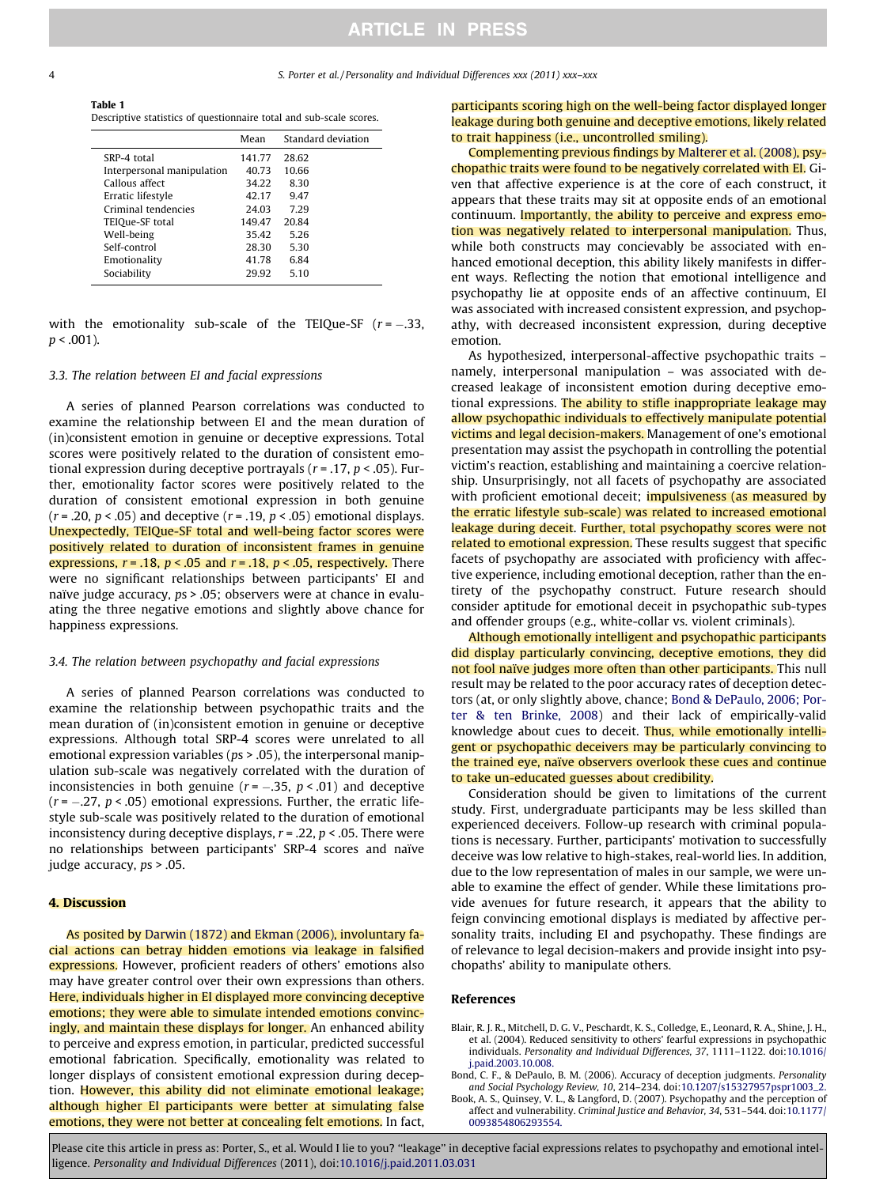# **ARTICLE IN PRESS**

<span id="page-3-0"></span>Table 1 Descriptive statistics of questionnaire total and sub-scale scores.

|                            | Mean   | Standard deviation |
|----------------------------|--------|--------------------|
| SRP-4 total                | 141.77 | 28.62              |
| Interpersonal manipulation | 40.73  | 10.66              |
| Callous affect             | 34.22  | 8.30               |
| Erratic lifestyle          | 42.17  | 9.47               |
| Criminal tendencies        | 24.03  | 729                |
| TEIQue-SF total            | 149.47 | 20.84              |
| Well-being                 | 35.42  | 5.26               |
| Self-control               | 28.30  | 5.30               |
| Emotionality               | 41.78  | 6.84               |
| Sociability                | 29.92  | 5.10               |
|                            |        |                    |

with the emotionality sub-scale of the TEIQue-SF  $(r = -.33, ...)$  $p < .001$ ).

#### 3.3. The relation between EI and facial expressions

A series of planned Pearson correlations was conducted to examine the relationship between EI and the mean duration of (in)consistent emotion in genuine or deceptive expressions. Total scores were positively related to the duration of consistent emotional expression during deceptive portrayals ( $r = .17$ ,  $p < .05$ ). Further, emotionality factor scores were positively related to the duration of consistent emotional expression in both genuine  $(r = .20, p < .05)$  and deceptive  $(r = .19, p < .05)$  emotional displays. Unexpectedly, TEIQue-SF total and well-being factor scores were positively related to duration of inconsistent frames in genuine expressions,  $r = .18$ ,  $p < .05$  and  $r = .18$ ,  $p < .05$ , respectively. There were no significant relationships between participants' EI and naïve judge accuracy, ps > .05; observers were at chance in evaluating the three negative emotions and slightly above chance for happiness expressions.

#### 3.4. The relation between psychopathy and facial expressions

A series of planned Pearson correlations was conducted to examine the relationship between psychopathic traits and the mean duration of (in)consistent emotion in genuine or deceptive expressions. Although total SRP-4 scores were unrelated to all emotional expression variables ( $ps$  > .05), the interpersonal manipulation sub-scale was negatively correlated with the duration of inconsistencies in both genuine  $(r = -.35, p < .01)$  and deceptive  $(r = -.27, p < .05)$  emotional expressions. Further, the erratic lifestyle sub-scale was positively related to the duration of emotional inconsistency during deceptive displays,  $r = 0.22$ ,  $p < 0.05$ . There were no relationships between participants' SRP-4 scores and naïve judge accuracy, ps > .05.

#### 4. Discussion

As posited by [Darwin \(1872\)](#page-4-0) and [Ekman \(2006\)](#page-4-0), involuntary facial actions can betray hidden emotions via leakage in falsified expressions. However, proficient readers of others' emotions also may have greater control over their own expressions than others. Here, individuals higher in EI displayed more convincing deceptive emotions; they were able to simulate intended emotions convincingly, and maintain these displays for longer. An enhanced ability to perceive and express emotion, in particular, predicted successful emotional fabrication. Specifically, emotionality was related to longer displays of consistent emotional expression during deception. However, this ability did not eliminate emotional leakage; although higher EI participants were better at simulating false emotions, they were not better at concealing felt emotions. In fact,

participants scoring high on the well-being factor displayed longer leakage during both genuine and deceptive emotions, likely related to trait happiness (i.e., uncontrolled smiling).

Complementing previous findings by [Malterer et al. \(2008\),](#page-4-0) psychopathic traits were found to be negatively correlated with EI. Given that affective experience is at the core of each construct, it appears that these traits may sit at opposite ends of an emotional continuum. Importantly, the ability to perceive and express emotion was negatively related to interpersonal manipulation. Thus, while both constructs may concievably be associated with enhanced emotional deception, this ability likely manifests in different ways. Reflecting the notion that emotional intelligence and psychopathy lie at opposite ends of an affective continuum, EI was associated with increased consistent expression, and psychopathy, with decreased inconsistent expression, during deceptive emotion.

As hypothesized, interpersonal-affective psychopathic traits – namely, interpersonal manipulation – was associated with decreased leakage of inconsistent emotion during deceptive emotional expressions. The ability to stifle inappropriate leakage may allow psychopathic individuals to effectively manipulate potential victims and legal decision-makers. Management of one's emotional presentation may assist the psychopath in controlling the potential victim's reaction, establishing and maintaining a coercive relationship. Unsurprisingly, not all facets of psychopathy are associated with proficient emotional deceit; **impulsiveness** (as measured by the erratic lifestyle sub-scale) was related to increased emotional leakage during deceit. Further, total psychopathy scores were not related to emotional expression. These results suggest that specific facets of psychopathy are associated with proficiency with affective experience, including emotional deception, rather than the entirety of the psychopathy construct. Future research should consider aptitude for emotional deceit in psychopathic sub-types and offender groups (e.g., white-collar vs. violent criminals).

Although emotionally intelligent and psychopathic participants did display particularly convincing, deceptive emotions, they did not fool naïve judges more often than other participants. This null result may be related to the poor accuracy rates of deception detectors (at, or only slightly above, chance; Bond & DePaulo, 2006; Porter & ten Brinke, 2008) and their lack of empirically-valid knowledge about cues to deceit. Thus, while emotionally intelligent or psychopathic deceivers may be particularly convincing to the trained eye, naïve observers overlook these cues and continue to take un-educated guesses about credibility.

Consideration should be given to limitations of the current study. First, undergraduate participants may be less skilled than experienced deceivers. Follow-up research with criminal populations is necessary. Further, participants' motivation to successfully deceive was low relative to high-stakes, real-world lies. In addition, due to the low representation of males in our sample, we were unable to examine the effect of gender. While these limitations provide avenues for future research, it appears that the ability to feign convincing emotional displays is mediated by affective personality traits, including EI and psychopathy. These findings are of relevance to legal decision-makers and provide insight into psychopaths' ability to manipulate others.

#### References

- Blair, R. J. R., Mitchell, D. G. V., Peschardt, K. S., Colledge, E., Leonard, R. A., Shine, J. H., et al. (2004). Reduced sensitivity to others' fearful expressions in psychopathic individuals. Personality and Individual Differences, 37, 1111–1122. doi[:10.1016/](http://dx.doi.org/10.1016/j.paid.2003.10.008) [j.paid.2003.10.008.](http://dx.doi.org/10.1016/j.paid.2003.10.008)
- Bond, C. F., & DePaulo, B. M. (2006). Accuracy of deception judgments. Personality and Social Psychology Review, 10, 214–234. doi[:10.1207/s15327957pspr1003\\_2.](http://dx.doi.org/10.1207/s15327957pspr1003_2)
- Book, A. S., Quinsey, V. L., & Langford, D. (2007). Psychopathy and the perception of affect and vulnerability. Criminal Justice and Behavior, 34, 531–544. doi[:10.1177/](http://dx.doi.org/10.1177/0093854806293554) [0093854806293554.](http://dx.doi.org/10.1177/0093854806293554)